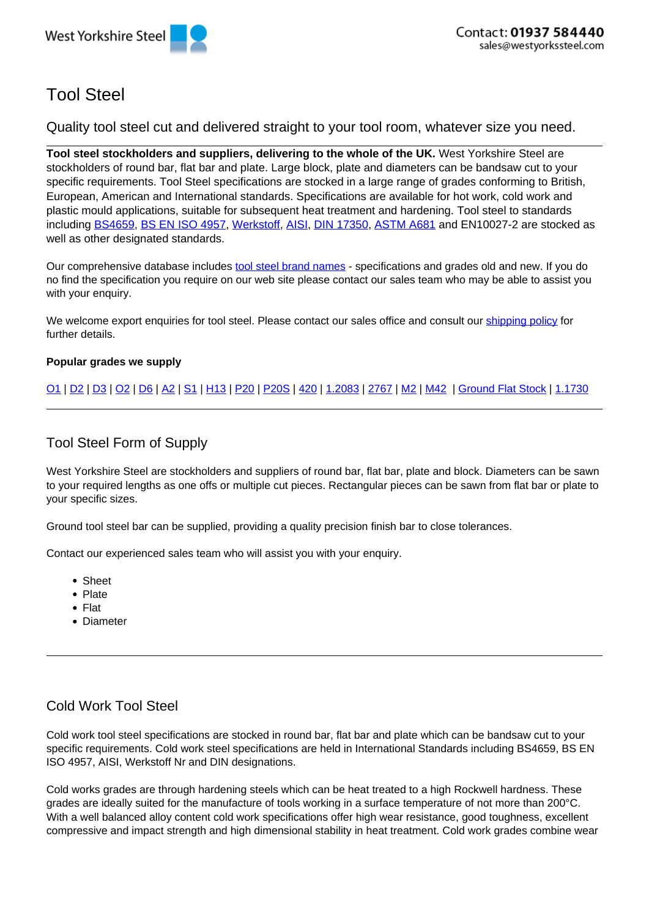# Tool Steel

Quality tool steel cut and delivered straight to your tool room, whatever size you need.

**Tool steel stockholders and suppliers, delivering to the whole of the UK.** West Yorkshire Steel are stockholders of round bar, flat bar and plate. Large block, plate and diameters can be bandsaw cut to your specific requirements. Tool Steel specifications are stocked in a large range of grades conforming to British, European, American and International standards. Specifications are available for hot work, cold work and plastic mould applications, suitable for subsequent heat treatment and hardening. Tool steel to standards including BS4659, BS EN ISO 4957, Werkstoff, AISI, DIN 17350, ASTM A681 and EN10027-2 are stocked as well as other designated standards.

Our comprehensive database includes tool steel brand names - specifications and grades old and new. If you do no find the specification you require on our web site please contact our sales team who may be able to assist you with your enquiry.

We welcome export enquiries for tool steel. Please contact our sales office and consult our shipping policy for further details.

#### **Popular grades we supply**

O1 | D2 | D3 | O2 | D6 | A2 | S1 | H13 | P20 | P20S | 420 | 1.2083 | 2767 | M2 | M42 | Ground Flat Stock | 1.1730

# Tool Steel Form of Supply

West Yorkshire Steel are stockholders and suppliers of round bar, flat bar, plate and block. Diameters can be sawn to your required lengths as one offs or multiple cut pieces. Rectangular pieces can be sawn from flat bar or plate to your specific sizes.

Ground tool steel bar can be supplied, providing a quality precision finish bar to close tolerances.

Contact our experienced sales team who will assist you with your enquiry.

- Sheet
- Plate
- Flat
- Diameter

# Cold Work Tool Steel

Cold work tool steel specifications are stocked in round bar, flat bar and plate which can be bandsaw cut to your specific requirements. Cold work steel specifications are held in International Standards including BS4659, BS EN ISO 4957, AISI, Werkstoff Nr and DIN designations.

Cold works grades are through hardening steels which can be heat treated to a high Rockwell hardness. These grades are ideally suited for the manufacture of tools working in a surface temperature of not more than 200°C. With a well balanced alloy content cold work specifications offer high wear resistance, good toughness, excellent compressive and impact strength and high dimensional stability in heat treatment. Cold work grades combine wear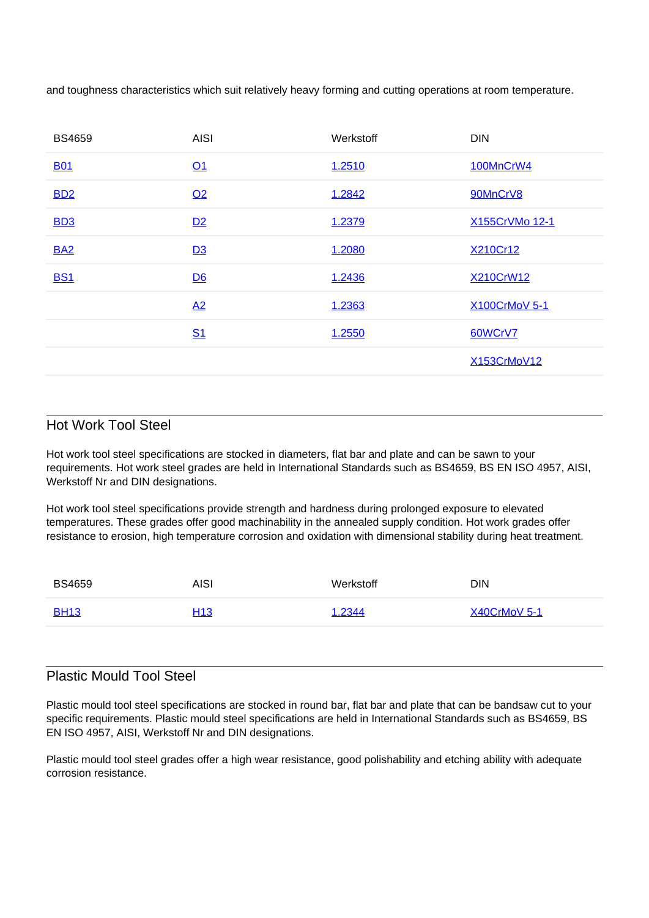and toughness characteristics which suit relatively heavy forming and cutting operations at room temperature.

| <b>BS4659</b> | <b>AISI</b>    | Werkstoff | <b>DIN</b>     |
|---------------|----------------|-----------|----------------|
| <b>B01</b>    | Q <sub>1</sub> | 1.2510    | 100MnCrW4      |
| <b>BD2</b>    | Q <sub>2</sub> | 1.2842    | 90MnCrV8       |
| <b>BD3</b>    | D2             | 1.2379    | X155CrVMo 12-1 |
| <b>BA2</b>    | D3             | 1.2080    | X210Cr12       |
| <b>BS1</b>    | D6             | 1.2436    | X210CrW12      |
|               | A2             | 1.2363    | X100CrMoV 5-1  |
|               | S <sub>1</sub> | 1.2550    | 60WCrV7        |
|               |                |           | X153CrMoV12    |

# Hot Work Tool Steel

Hot work tool steel specifications are stocked in diameters, flat bar and plate and can be sawn to your requirements. Hot work steel grades are held in International Standards such as BS4659, BS EN ISO 4957, AISI, Werkstoff Nr and DIN designations.

Hot work tool steel specifications provide strength and hardness during prolonged exposure to elevated temperatures. These grades offer good machinability in the annealed supply condition. Hot work grades offer resistance to erosion, high temperature corrosion and oxidation with dimensional stability during heat treatment.

| <b>BS4659</b> | AISI            | Werkstoff | <b>DIN</b>     |
|---------------|-----------------|-----------|----------------|
| <b>BH13</b>   | H <sub>13</sub> | 1.2344    | $X40CrMoV$ 5-1 |

## Plastic Mould Tool Steel

Plastic mould tool steel specifications are stocked in round bar, flat bar and plate that can be bandsaw cut to your specific requirements. Plastic mould steel specifications are held in International Standards such as BS4659, BS EN ISO 4957, AISI, Werkstoff Nr and DIN designations.

Plastic mould tool steel grades offer a high wear resistance, good polishability and etching ability with adequate corrosion resistance.